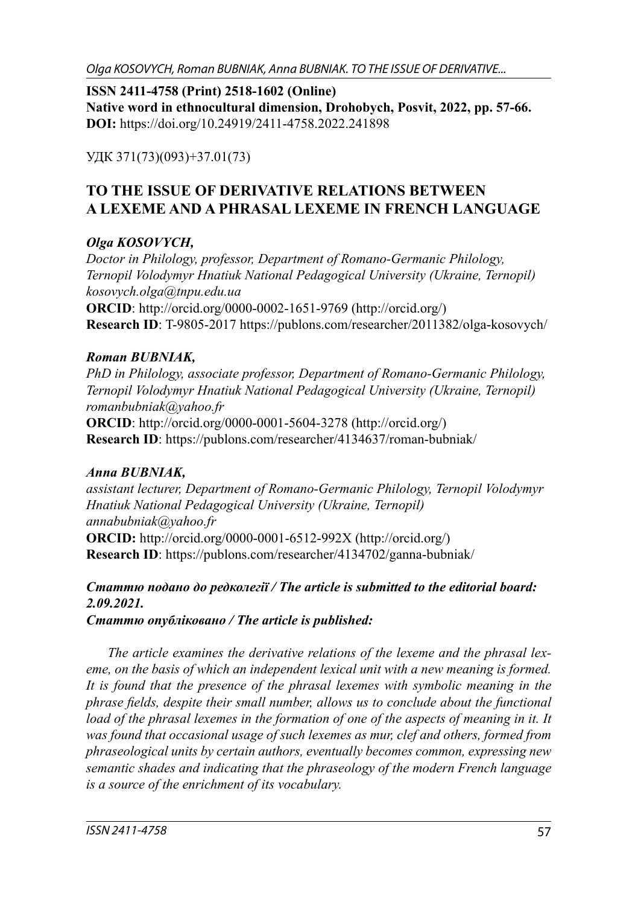Olga KOSOVYCH, Roman BUBNIAK, Anna BUBNIAK. TO THE ISSUE OF DERIVATIVE...

**ISSN 2411-4758 (Print) 2518-1602 (Online) Native word in ethnocultural dimension, Drohobych, Posvit, 2022, pp. 57-66. DOI:** https://doi.org/10.24919/2411-4758.2022.241898

УДК 371(73)(093)+37.01(73)

# **TO THE ISSUE OF DERIVATIVE RELATIONS BETWEEN A LEXEME AND A PHRASAL LEXEME IN FRENCH LANGUAGE**

## *Olga KOSOVYCH,*

*Doctor in Philology, professor, Department of Romano-Germanic Philology, Ternopil Volodymyr Hnatiuk National Pedagogical University (Ukraine, Ternopil) kosovych.olga@tnpu.edu.ua* **ORCID**: http://orcid.org/0000-0002-1651-9769 (http://orcid.org/) **Research ID**: T-9805-2017 https://publons.com/researcher/2011382/olga-kosovych/

## *Roman BUBNIAK,*

*PhD in Philology, associate professor, Department of Romano-Germanic Philology, Ternopil Volodymyr Hnatiuk National Pedagogical University (Ukraine, Ternopil) romanbubniak@yahoo.fr* **ORCID**: http://orcid.org/0000-0001-5604-3278 (http://orcid.org/)

**Research ID**: https://publons.com/researcher/4134637/roman-bubniak/

### *Anna BUBNIAK,*

*assistant lecturer, Department of Romano-Germanic Philology, Ternopil Volodymyr Hnatiuk National Pedagogical University (Ukraine, Ternopil) annabubniak@yahoo.fr* **ORCID:** http://orcid.org/0000-0001-6512-992X (http://orcid.org/) **Research ID:** https://publons.com/researcher/4134702/ganna-bubniak/

# *Статтю подано до редколегії / The article is submitted to the editorial board: 2.09.2021.*

*Статтю опубліковано / The article is published:*

*The article examines the derivative relations of the lexeme and the phrasal lexeme, on the basis of which an independent lexical unit with a new meaning is formed. It is found that the presence of the phrasal lexemes with symbolic meaning in the phrase fields, despite their small number, allows us to conclude about the functional* load of the phrasal lexemes in the formation of one of the aspects of meaning in it. It *was found that occasional usage of such lexemes as mur, clef and others, formed from phraseological units by certain authors, eventually becomes common, expressing new semantic shades and indicating that the phraseology of the modern French language is a source of the enrichment of its vocabulary.*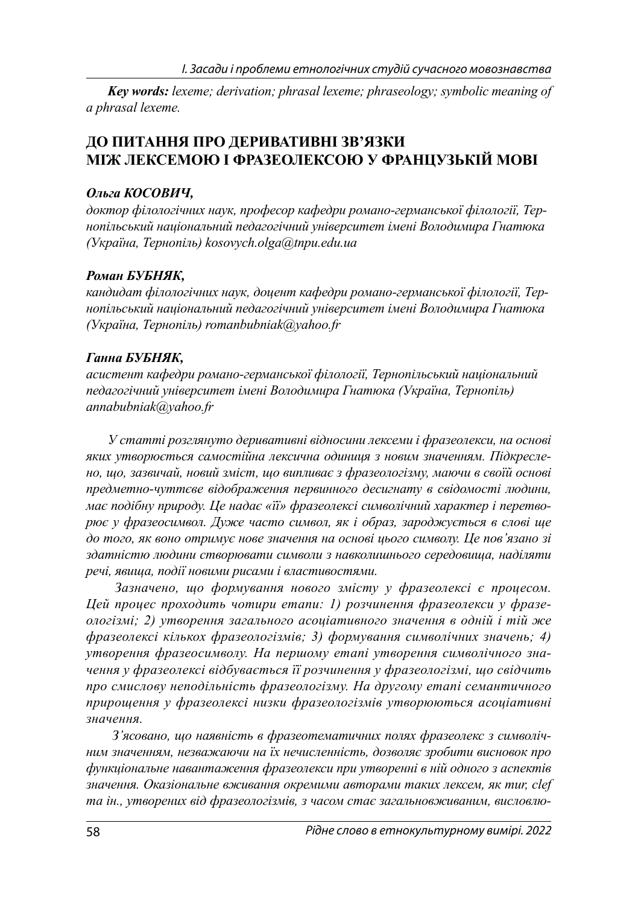*Key words: lexeme; derivation; phrasal lexeme; phraseology; symbolic meaning of a phrasal lexeme.*

### **ДО ПИТАННЯ ПРО ДЕРИВАТИВНІ ЗВ'ЯЗКИ МІЖ ЛЕКСЕМОЮ І ФРАЗЕОЛЕКСОЮ У ФРАНЦУЗЬКІЙ МОВІ**

#### *Ольга КОСОВИЧ,*

*доктор філологічних наук, професор кафедри романо-германської філології, Тернопільський національний педагогічний університет імені Володимира Гнатюка (Україна, Тернопіль) kosovych.olga@tnpu.edu.ua*

#### *Роман БУБНЯК,*

*кандидат філологічних наук, доцент кафедри романо-германської філології, Тернопільський національний педагогічний університет імені Володимира Гнатюка (Україна, Тернопіль) romanbubniak@yahoo.fr*

#### *Ганна БУБНЯК,*

*асистент кафедри романо-германської філології, Тернопільський національний педагогічний університет імені Володимира Гнатюка (Україна, Тернопіль) annabubniak@yahoo.fr*

*У статті розглянуто деривативні відносини лексеми і фразеолекси, на основі яких утворюється самостійна лексична одиниця з новим значенням. Підкреслено, що, зазвичай, новий зміст, що випливає з фразеологізму, маючи в своїй основі предметно-чуттєве відображення первинного десигнату в свідомості людини, має подібну природу. Це надає «її» фразеолексі символічний характер і перетворює у фразеосимвол. Дуже часто символ, як і образ, зароджується в слові ще до того, як воно отримує нове значення на основі цього символу. Це пов'язано зі здатністю людини створювати символи з навколишнього середовища, наділяти речі, явища, події новими рисами і властивостями.*

*Зазначено, що формування нового змісту у фразеолексі є процесом. Цей процес проходить чотири етапи: 1) розчинення фразеолекси у фразеологізмі; 2) утворення загального асоціативного значення в одній і тій же фразеолексі кількох фразеологізмів; 3) формування символічних значень; 4) утворення фразеосимволу. На першому етапі утворення символічного значення у фразеолексі відбувається її розчинення у фразеологізмі, що свідчить про смислову неподільність фразеологізму. На другому етапі семантичного прирощення у фразеолексі низки фразеологізмів утворюються асоціативні значення.*

*З'ясовано, що наявність в фразеотематичних полях фразеолекс з символічним значенням, незважаючи на їх нечисленність, дозволяє зробити висновок про функціональне навантаження фразеолекси при утворенні в ній одного з аспектів значення. Оказіональне вживання окремими авторами таких лексем, як mur, clef та ін., утворених від фразеологізмів, з часом стає загальновживаним, висловлю-*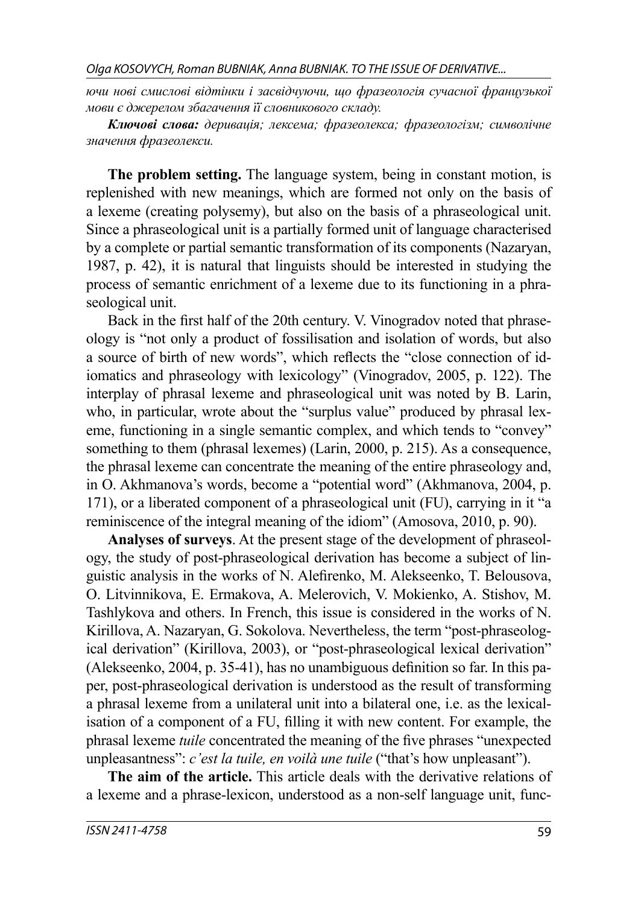*ючи нові смислові відтінки і засвідчуючи, що фразеологія сучасної французької мови є джерелом збагачення її словникового складу.*

*Ключові слова: деривація; лексема; фразеолекса; фразеологізм; символічне значення фразеолекси.*

**The problem setting.** The language system, being in constant motion, is replenished with new meanings, which are formed not only on the basis of a lexeme (creating polysemy), but also on the basis of a phraseological unit. Since a phraseological unit is a partially formed unit of language characterised by a complete or partial semantic transformation of its components (Nazaryan, 1987, p. 42), it is natural that linguists should be interested in studying the process of semantic enrichment of a lexeme due to its functioning in a phraseological unit.

Back in the first half of the 20th century. V. Vinogradov noted that phraseology is "not only a product of fossilisation and isolation of words, but also a source of birth of new words", which reflects the "close connection of idiomatics and phraseology with lexicology" (Vinogradov, 2005, p. 122). The interplay of phrasal lexeme and phraseological unit was noted by B. Larin, who, in particular, wrote about the "surplus value" produced by phrasal lexeme, functioning in a single semantic complex, and which tends to "convey" something to them (phrasal lexemes) (Larin, 2000, p. 215). As a consequence, the phrasal lexeme can concentrate the meaning of the entire phraseology and, in O. Akhmanova's words, become a "potential word" (Akhmanova, 2004, p. 171), or a liberated component of a phraseological unit (FU), carrying in it "a reminiscence of the integral meaning of the idiom" (Amosova, 2010, p. 90).

**Analyses of surveys**. At the present stage of the development of phraseology, the study of post-phraseological derivation has become a subject of linguistic analysis in the works of N. Alefirenko, M. Alekseenko, T. Belousova, O. Litvinnikova, E. Ermakova, A. Melerovich, V. Mokienko, A. Stishov, M. Tashlykova and others. In French, this issue is considered in the works of N. Kirillova, A. Nazaryan, G. Sokolova. Nevertheless, the term "post-phraseological derivation" (Kirillova, 2003), or "post-phraseological lexical derivation"  $(A$ lekseenko, 2004, p. 35-41), has no unambiguous definition so far. In this paper, post-phraseological derivation is understood as the result of transforming a phrasal lexeme from a unilateral unit into a bilateral one, i.e. as the lexicalisation of a component of a FU, filling it with new content. For example, the phrasal lexeme *tuile* concentrated the meaning of the five phrases "unexpected" unpleasantness": *c'est la tuile, en voilà une tuile* ("that's how unpleasant").

**The aim of the article.** This article deals with the derivative relations of a lexeme and a phrase-lexicon, understood as a non-self language unit, func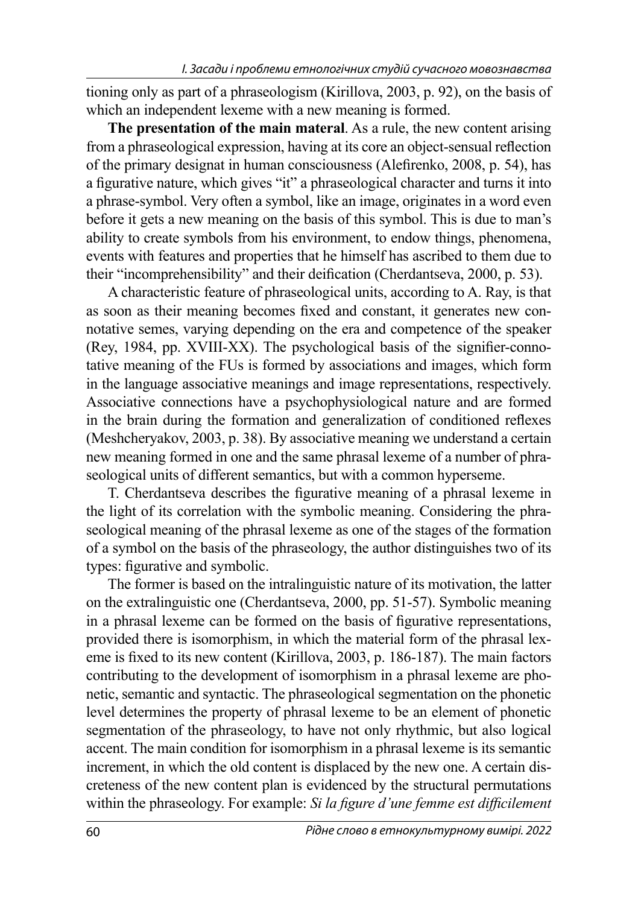tioning only as part of a phraseologism (Kirillova, 2003, p. 92), on the basis of which an independent lexeme with a new meaning is formed.

**The presentation of the main materal**. As a rule, the new content arising from a phraseological expression, having at its core an object-sensual reflection of the primary designat in human consciousness (Alefirenko, 2008, p. 54), has a figurative nature, which gives "it" a phraseological character and turns it into a phrase-symbol. Very often a symbol, like an image, originates in a word even before it gets a new meaning on the basis of this symbol. This is due to man's ability to create symbols from his environment, to endow things, phenomena, events with features and properties that he himself has ascribed to them due to their "incomprehensibility" and their deification (Cherdantseva, 2000, p. 53).

A characteristic feature of phraseological units, according to A. Ray, is that as soon as their meaning becomes fixed and constant, it generates new connotative semes, varying depending on the era and competence of the speaker (Rey, 1984, pp. XVIII-XX). The psychological basis of the signifier-connotative meaning of the FUs is formed by associations and images, which form in the language associative meanings and image representations, respectively. Associative connections have a psychophysiological nature and are formed in the brain during the formation and generalization of conditioned reflexes (Meshcheryakov, 2003, p. 38). By associative meaning we understand a certain new meaning formed in one and the same phrasal lexeme of a number of phraseological units of different semantics, but with a common hyperseme.

T. Cherdantseva describes the figurative meaning of a phrasal lexeme in the light of its correlation with the symbolic meaning. Considering the phraseological meaning of the phrasal lexeme as one of the stages of the formation of a symbol on the basis of the phraseology, the author distinguishes two of its types: figurative and symbolic.

The former is based on the intralinguistic nature of its motivation, the latter on the extralinguistic one (Cherdantseva, 2000, pp. 51-57). Symbolic meaning in a phrasal lexeme can be formed on the basis of figurative representations, provided there is isomorphism, in which the material form of the phrasal lexeme is fixed to its new content (Kirillova, 2003, p. 186-187). The main factors contributing to the development of isomorphism in a phrasal lexeme are phonetic, semantic and syntactic. The phraseological segmentation on the phonetic level determines the property of phrasal lexeme to be an element of phonetic segmentation of the phraseology, to have not only rhythmic, but also logical accent. The main condition for isomorphism in a phrasal lexeme is its semantic increment, in which the old content is displaced by the new one. A certain discreteness of the new content plan is evidenced by the structural permutations within the phraseology. For example: *Si la figure d'une femme est difficilement*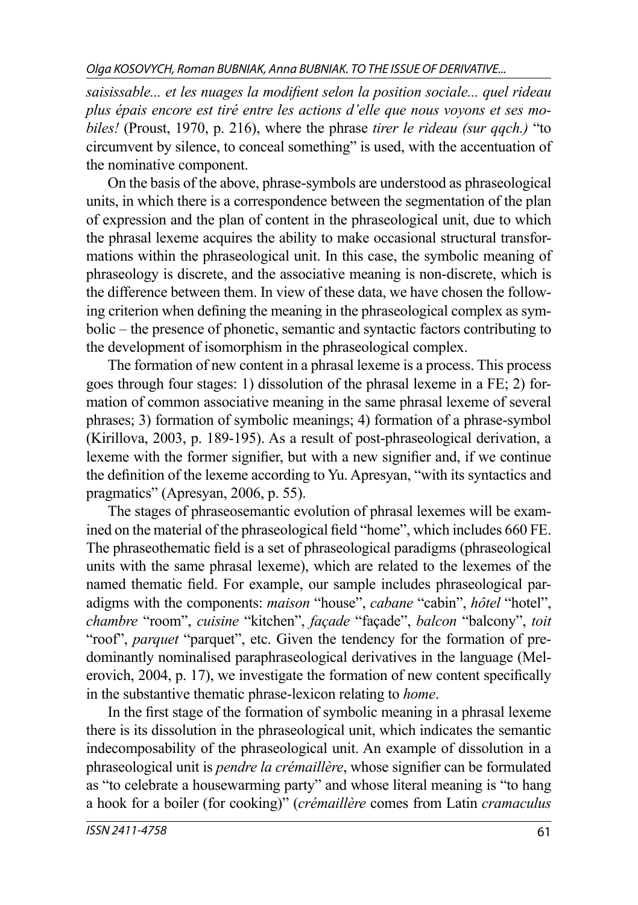saisissable... et les nuages la modifient selon la position sociale... quel rideau *plus épais encore est tiré entre les actions d'elle que nous voyons et ses mobiles!* (Proust, 1970, p. 216), where the phrase *tirer le rideau (sur qqch.)* "to circumvent by silence, to conceal something" is used, with the accentuation of the nominative component.

On the basis of the above, phrase-symbols are understood as phraseological units, in which there is a correspondence between the segmentation of the plan of expression and the plan of content in the phraseological unit, due to which the phrasal lexeme acquires the ability to make occasional structural transformations within the phraseological unit. In this case, the symbolic meaning of phraseology is discrete, and the associative meaning is non-discrete, which is the difference between them. In view of these data, we have chosen the following criterion when defining the meaning in the phraseological complex as symbolic – the presence of phonetic, semantic and syntactic factors contributing to the development of isomorphism in the phraseological complex.

The formation of new content in a phrasal lexeme is a process. This process goes through four stages: 1) dissolution of the phrasal lexeme in a FE; 2) formation of common associative meaning in the same phrasal lexeme of several phrases; 3) formation of symbolic meanings; 4) formation of a phrase-symbol (Kirillova, 2003, p. 189-195). As a result of post-phraseological derivation, a lexeme with the former signifier, but with a new signifier and, if we continue the definition of the lexeme according to Yu. Apresyan, "with its syntactics and pragmatics" (Apresyan, 2006, p. 55).

The stages of phraseosemantic evolution of phrasal lexemes will be examined on the material of the phraseological field "home", which includes 660 FE. The phraseothematic field is a set of phraseological paradigms (phraseological units with the same phrasal lexeme), which are related to the lexemes of the named thematic field. For example, our sample includes phraseological paradigms with the components: *maison* "house", *cabane* "cabin", *hôtel* "hotel", *chambre* "room", *cuisine* "kitchen", *façade* "façade", *balcon* "balcony", *toit* "roof", *parquet* "parquet", etc. Given the tendency for the formation of predominantly nominalised paraphraseological derivatives in the language (Melerovich,  $2004$ , p. 17), we investigate the formation of new content specifically in the substantive thematic phrase-lexicon relating to *home*.

In the first stage of the formation of symbolic meaning in a phrasal lexeme there is its dissolution in the phraseological unit, which indicates the semantic indecomposability of the phraseological unit. An example of dissolution in a phraseological unit is *pendre la crémaillère*, whose signifier can be formulated as "to celebrate a housewarming party" and whose literal meaning is "to hang a hook for a boiler (for cooking)" (*crémaillère* comes from Latin *cramaculus*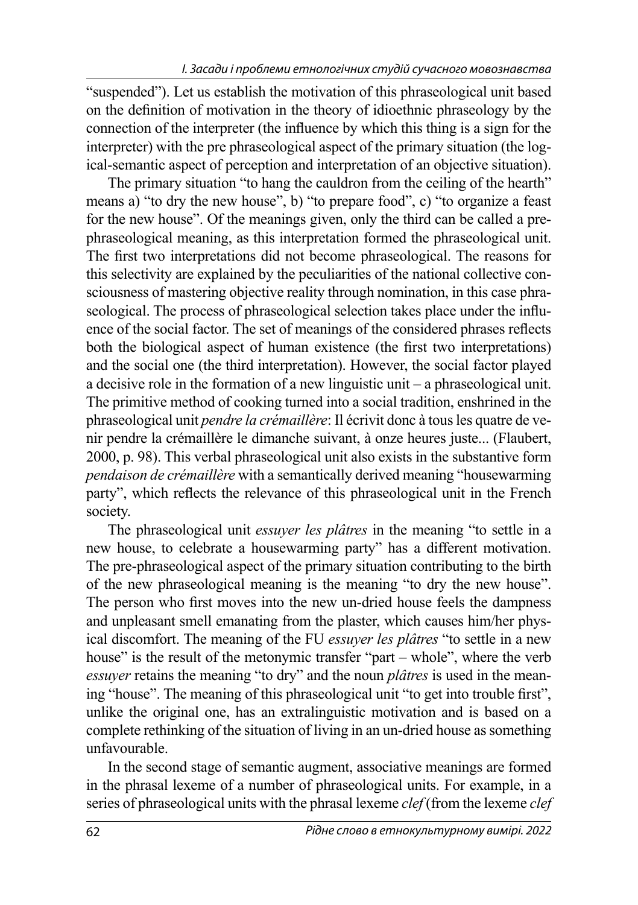"suspended"). Let us establish the motivation of this phraseological unit based on the definition of motivation in the theory of idioethnic phraseology by the connection of the interpreter (the influence by which this thing is a sign for the interpreter) with the pre phraseological aspect of the primary situation (the logical-semantic aspect of perception and interpretation of an objective situation).

The primary situation "to hang the cauldron from the ceiling of the hearth" means a) "to dry the new house", b) "to prepare food", c) "to organize a feast for the new house". Of the meanings given, only the third can be called a prephraseological meaning, as this interpretation formed the phraseological unit. The first two interpretations did not become phraseological. The reasons for this selectivity are explained by the peculiarities of the national collective consciousness of mastering objective reality through nomination, in this case phraseological. The process of phraseological selection takes place under the influence of the social factor. The set of meanings of the considered phrases reflects both the biological aspect of human existence (the first two interpretations) and the social one (the third interpretation). However, the social factor played a decisive role in the formation of a new linguistic unit – a phraseological unit. The primitive method of cooking turned into a social tradition, enshrined in the phraseological unit *pendre la crémaillère*: Il écrivit donc à tous les quatre de venir pendre la crémaillère le dimanche suivant, à onze heures juste... (Flaubert, 2000, p. 98). This verbal phraseological unit also exists in the substantive form *pendaison de crémaillère* with a semantically derived meaning "housewarming party", which reflects the relevance of this phraseological unit in the French society.

The phraseological unit *essuyer les plâtres* in the meaning "to settle in a new house, to celebrate a housewarming party" has a different motivation. The pre-phraseological aspect of the primary situation contributing to the birth of the new phraseological meaning is the meaning "to dry the new house". The person who first moves into the new un-dried house feels the dampness and unpleasant smell emanating from the plaster, which causes him/her physical discomfort. The meaning of the FU *essuyer les plâtres* "to settle in a new house" is the result of the metonymic transfer "part – whole", where the verb *essuyer* retains the meaning "to dry" and the noun *plâtres* is used in the meaning "house". The meaning of this phraseological unit "to get into trouble first", unlike the original one, has an extralinguistic motivation and is based on a complete rethinking of the situation of living in an un-dried house as something unfavourable.

In the second stage of semantic augment, associative meanings are formed in the phrasal lexeme of a number of phraseological units. For example, in a series of phraseological units with the phrasal lexeme *clef* (from the lexeme *clef*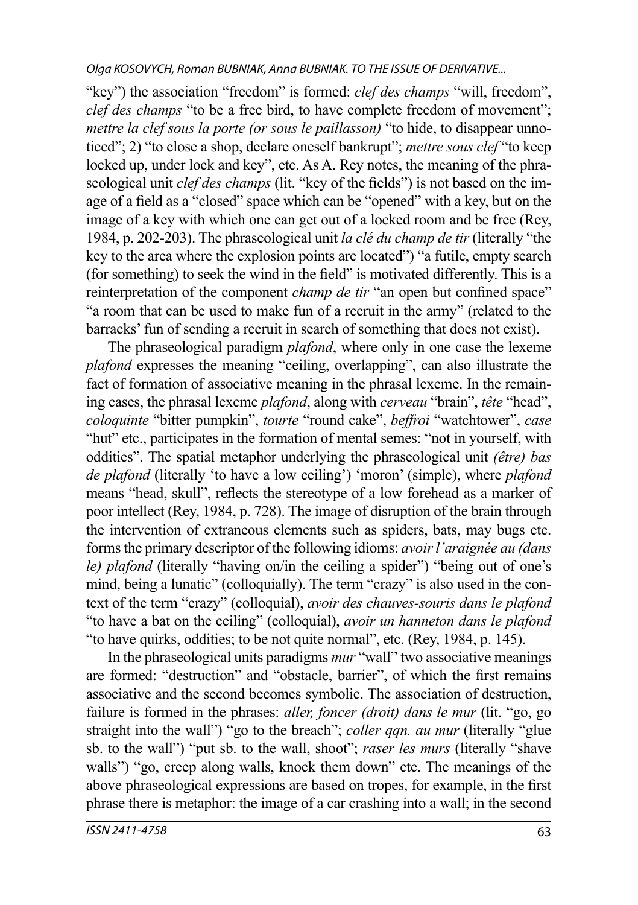"key") the association "freedom" is formed: *clef des champs* "will, freedom", *clef des champs* "to be a free bird, to have complete freedom of movement"; *mettre la clef sous la porte (or sous le paillasson)* "to hide, to disappear unnoticed"; 2) "to close a shop, declare oneself bankrupt"; *mettre sous clef* "to keep locked up, under lock and key", etc. As A. Rey notes, the meaning of the phraseological unit *clef des champs* (lit. "key of the fields") is not based on the image of a field as a "closed" space which can be "opened" with a key, but on the image of a key with which one can get out of a locked room and be free (Rey, 1984, p. 202-203). The phraseological unit *la clé du champ de tir* (literally "the key to the area where the explosion points are located") "a futile, empty search (for something) to seek the wind in the field" is motivated differently. This is a reinterpretation of the component *champ de tir* "an open but confined space" "a room that can be used to make fun of a recruit in the army" (related to the barracks' fun of sending a recruit in search of something that does not exist).

The phraseological paradigm *plafond*, where only in one case the lexeme *plafond* expresses the meaning "ceiling, overlapping", can also illustrate the fact of formation of associative meaning in the phrasal lexeme. In the remaining cases, the phrasal lexeme *plafond*, along with *cerveau* "brain", *tête* "head", *coloquinte* "bitter pumpkin", *tourte* "round cake", *beffroi* "watchtower", *case* "hut" etc., participates in the formation of mental semes: "not in yourself, with oddities". The spatial metaphor underlying the phraseological unit *(être) bas de plafond* (literally 'to have a low ceiling') 'moron' (simple), where *plafond* means "head, skull", reflects the stereotype of a low forehead as a marker of poor intellect (Rey, 1984, p. 728). The image of disruption of the brain through the intervention of extraneous elements such as spiders, bats, may bugs etc. forms the primary descriptor of the following idioms: *avoir l'araignée au (dans le) plafond* (literally "having on/in the ceiling a spider") "being out of one's mind, being a lunatic" (colloquially). The term "crazy" is also used in the context of the term "crazy" (colloquial), *avoir des chauves-souris dans le plafond* "to have a bat on the ceiling" (colloquial), *avoir un hanneton dans le plafond* "to have quirks, oddities; to be not quite normal", etc. (Rey, 1984, p. 145).

In the phraseological units paradigms *mur* "wall" two associative meanings are formed: "destruction" and "obstacle, barrier", of which the first remains associative and the second becomes symbolic. The association of destruction, failure is formed in the phrases: *aller, foncer (droit) dans le mur* (lit. "go, go straight into the wall") "go to the breach"; *coller qqn. au mur* (literally "glue sb. to the wall") "put sb. to the wall, shoot"; *raser les murs* (literally "shave walls") "go, creep along walls, knock them down" etc. The meanings of the above phraseological expressions are based on tropes, for example, in the first phrase there is metaphor: the image of a car crashing into a wall; in the second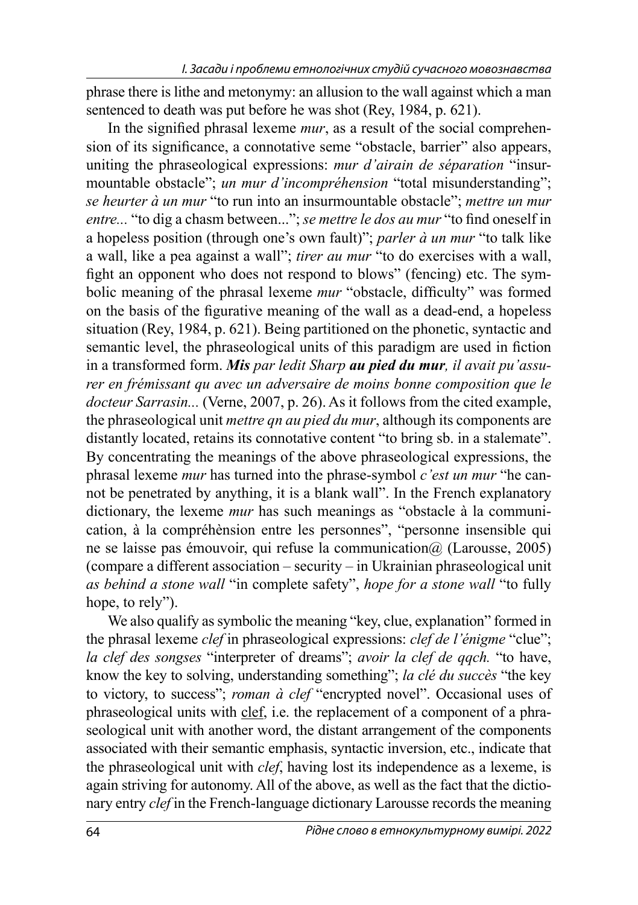phrase there is lithe and metonymy: an allusion to the wall against which a man sentenced to death was put before he was shot (Rey, 1984, p. 621).

In the signified phrasal lexeme *mur*, as a result of the social comprehension of its significance, a connotative seme "obstacle, barrier" also appears, uniting the phraseological expressions: *mur d'airain de séparation* "insurmountable obstacle"; *un mur d'incompréhension* "total misunderstanding"; *se heurter à un mur* "to run into an insurmountable obstacle"; *mettre un mur entre...* "to dig a chasm between..."; *se mettre le dos au mur* "to find oneself in a hopeless position (through one's own fault)"; *parler à un mur* "to talk like a wall, like a pea against a wall"; *tirer au mur* "to do exercises with a wall, fight an opponent who does not respond to blows" (fencing) etc. The symbolic meaning of the phrasal lexeme *mur* "obstacle, difficulty" was formed on the basis of the figurative meaning of the wall as a dead-end, a hopeless situation (Rey, 1984, p. 621). Being partitioned on the phonetic, syntactic and semantic level, the phraseological units of this paradigm are used in fiction in a transformed form. *Mis par ledit Sharp au pied du mur, il avait pu'assurer en frémissant qu avec un adversaire de moins bonne composition que le docteur Sarrasin...* (Verne, 2007, p. 26). As it follows from the cited example, the phraseological unit *mettre qn au pied du mur*, although its components are distantly located, retains its connotative content "to bring sb. in a stalemate". By concentrating the meanings of the above phraseological expressions, the phrasal lexeme *mur* has turned into the phrase-symbol *c'est un mur* "he cannot be penetrated by anything, it is a blank wall". In the French explanatory dictionary, the lexeme *mur* has such meanings as "obstacle à la communication, à la compréhènsion entre les personnes", "personne insensible qui ne se laisse pas émouvoir, qui refuse la communication@ (Larousse, 2005) (compare a different association – security – in Ukrainian phraseological unit *as behind a stone wall* "in complete safety", *hope for a stone wall* "to fully hope, to rely").

We also qualify as symbolic the meaning "key, clue, explanation" formed in the phrasal lexeme *clef* in phraseological expressions: *clef de l'énigme* "clue"; *la clef des songses* "interpreter of dreams"; *avoir la clef de qqch.* "to have, know the key to solving, understanding something"; *la clé du succès* "the key to victory, to success"; *roman à clef* "encrypted novel". Occasional uses of phraseological units with clef, i.e. the replacement of a component of a phraseological unit with another word, the distant arrangement of the components associated with their semantic emphasis, syntactic inversion, etc., indicate that the phraseological unit with *clef*, having lost its independence as a lexeme, is again striving for autonomy. All of the above, as well as the fact that the dictionary entry *clef* in the French-language dictionary Larousse records the meaning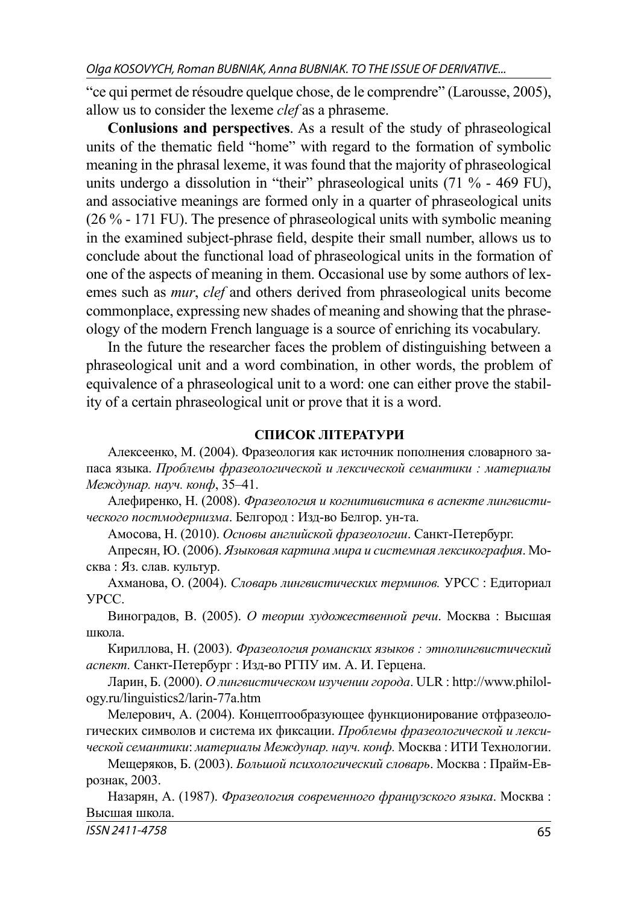"ce qui permet de résoudre quelque chose, de le comprendre" (Larousse, 2005), allow us to consider the lexeme *clef* as a phraseme.

**Conlusions and perspectives**. As a result of the study of phraseological units of the thematic field "home" with regard to the formation of symbolic meaning in the phrasal lexeme, it was found that the majority of phraseological units undergo a dissolution in "their" phraseological units (71 % - 469 FU), and associative meanings are formed only in a quarter of phraseological units (26 % - 171 FU). The presence of phraseological units with symbolic meaning in the examined subject-phrase field, despite their small number, allows us to conclude about the functional load of phraseological units in the formation of one of the aspects of meaning in them. Occasional use by some authors of lexemes such as *mur*, *clef* and others derived from phraseological units become commonplace, expressing new shades of meaning and showing that the phraseology of the modern French language is a source of enriching its vocabulary.

In the future the researcher faces the problem of distinguishing between a phraseological unit and a word combination, in other words, the problem of equivalence of a phraseological unit to a word: one can either prove the stability of a certain phraseological unit or prove that it is a word.

### **СПИСОК ЛІТЕРАТУРИ**

Алексеенко, М. (2004). Фразеология как источник пополнения словарного запаса языка. *Проблемы фразеологической и лексической семантики : материалы Междунар. науч. конф*, 35–41.

Алефиренко, Н. (2008). *Фразеология и когнитивистика в аспекте лингвистического постмодернизма*. Белгород : Изд-во Белгор. ун-та.

Амосова, Н. (2010). *Основы английской фразеологии*. Cанкт-Петербург.

Апресян, Ю. (2006). *Языковая картина мира и системная лексикография*. Москва : Яз. слав. культур.

Ахманова, О. (2004). *Словарь лингвистических терминов.* УРСС : Едиториал УРСС.

Виноградов, В. (2005). *О теории художественной речи*. Москва : Высшая школа.

Кириллова, Н. (2003). *Фразеология романских языков : этнолингвистический аспект.* Cанкт-Петербург : Изд-во РГПУ им. А. И. Герцена.

Ларин, Б. (2000). *О лингвистическом изучении города*. ULR : http://www.philology.ru/linguistics2/larin-77a.htm

Мелерович, А. (2004). Концептообразующее функционирование отфразеологических символов и система их фиксации. *Проблемы фразеологической и лексической семантики*: *материалы Междунар. науч. конф.* Москва : ИТИ Технологии.

Мещеряков, Б. (2003). *Большой психологический словарь*. Москва : Прайм-Еврознак, 2003.

Назарян, А. (1987). *Фразеология современного французского языка*. Москва : Высшая школа.

ISSN 2411-4758 65